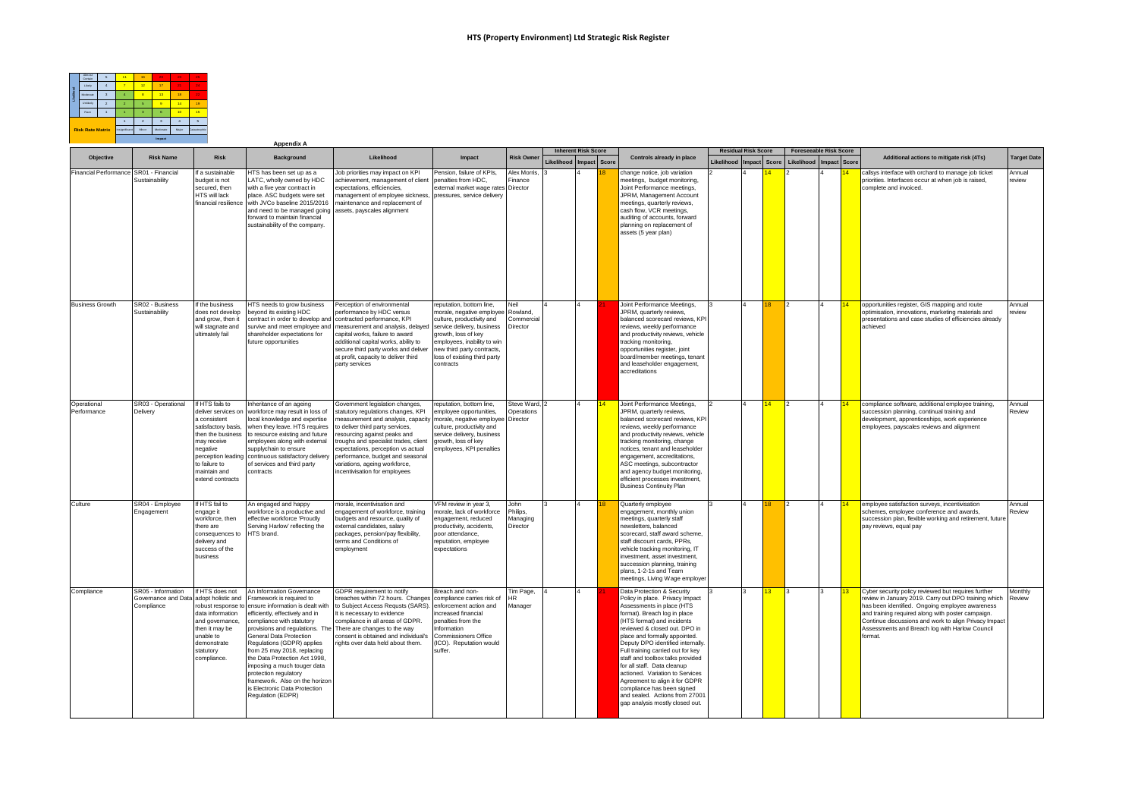

|                                        |                                                                            |                                                                                                                                                                                   | <b>Appendix A</b>                                                                                                                                                                                                                                                                                                                                                                                                                                                                        |                                                                                                                                                                                                                                                                                                                                                                      |                                                                                                                                                                                                                              |                                          |                             | <b>Inherent Risk Score</b> |    |                                                                                                                                                                                                                                                                                                                                                                                                                                                                                                                                                |                                          |                 |                                                       |    |                 |                                                                                                                                                                                                                                                                                                                                           |                    |
|----------------------------------------|----------------------------------------------------------------------------|-----------------------------------------------------------------------------------------------------------------------------------------------------------------------------------|------------------------------------------------------------------------------------------------------------------------------------------------------------------------------------------------------------------------------------------------------------------------------------------------------------------------------------------------------------------------------------------------------------------------------------------------------------------------------------------|----------------------------------------------------------------------------------------------------------------------------------------------------------------------------------------------------------------------------------------------------------------------------------------------------------------------------------------------------------------------|------------------------------------------------------------------------------------------------------------------------------------------------------------------------------------------------------------------------------|------------------------------------------|-----------------------------|----------------------------|----|------------------------------------------------------------------------------------------------------------------------------------------------------------------------------------------------------------------------------------------------------------------------------------------------------------------------------------------------------------------------------------------------------------------------------------------------------------------------------------------------------------------------------------------------|------------------------------------------|-----------------|-------------------------------------------------------|----|-----------------|-------------------------------------------------------------------------------------------------------------------------------------------------------------------------------------------------------------------------------------------------------------------------------------------------------------------------------------------|--------------------|
| Objective                              | <b>Risk Name</b>                                                           | <b>Risk</b>                                                                                                                                                                       | <b>Background</b>                                                                                                                                                                                                                                                                                                                                                                                                                                                                        | Likelihood                                                                                                                                                                                                                                                                                                                                                           | Impact                                                                                                                                                                                                                       | <b>Risk Owner</b>                        | Likelihood   Impact   Score |                            |    | Controls already in place                                                                                                                                                                                                                                                                                                                                                                                                                                                                                                                      | <b>Residual Risk Score</b><br>Likelihood | mpact Score     | Foreseeable Risk Score<br>Likelihood   Impact   Score |    |                 | Additional actions to mitigate risk (4Ts)                                                                                                                                                                                                                                                                                                 | <b>Target Date</b> |
| Financial Performance SR01 - Financial | Sustainability                                                             | If a sustainable<br>budget is not<br>secured, then<br><b>HTS will lack</b><br>financial resilience                                                                                | ITS has been set up as a<br>LATC, wholly owned by HDC<br>with a five year contract in<br>place. ASC budgets were set<br>with JVCo baseline 2015/2016<br>and need to be managed going assets, payscales alignment<br>forward to maintain financial<br>sustainability of the company.                                                                                                                                                                                                      | Job priorities may impact on KPI<br>achievement, management of client<br>expectations, efficiencies,<br>management of employee sickness, pressures, service delivery<br>maintenance and replacement of                                                                                                                                                               | Pension, failure of KPIs,<br>penalties from HDC.<br>external market wage rates Director                                                                                                                                      | Alex Morris,<br>Finance                  |                             |                            |    | change notice, job variation<br>meetings, budget monitoring,<br>Joint Performance meetings,<br>JPRM, Management Account<br>meetings, quarterly reviews,<br>cash flow, VCR meetings,<br>auditing of accounts, forward<br>planning on replacement of<br>assets (5 year plan)                                                                                                                                                                                                                                                                     |                                          | 14              |                                                       |    |                 | callsys interface with orchard to manage job ticket<br>priorities. Interfaces occur at when job is raised,<br>complete and invoiced.                                                                                                                                                                                                      | Annual<br>review   |
| <b>Business Growth</b>                 | SR02 - Business<br>Sustainability                                          | If the business<br>does not develop<br>and grow, then it<br>will stagnate and<br>ultimately fail                                                                                  | HTS needs to grow business<br>beyond its existing HDC<br>contract in order to develop and contracted performance, KPI<br>shareholder expectations for<br>future opportunities                                                                                                                                                                                                                                                                                                            | Perception of environmental<br>performance by HDC versus<br>survive and meet employee and measurement and analysis, delayed service delivery, business<br>capital works, failure to award<br>additional capital works, ability to<br>secure third party works and deliver<br>at profit, capacity to deliver third<br>party services                                  | reputation, bottom line,<br>morale, negative employee Rowland,<br>culture, productivity and<br>growth, loss of key<br>employees, inability to win<br>new third party contracts,<br>loss of existing third party<br>contracts | Neil<br>Commercia<br>Director            |                             |                            |    | Joint Performance Meetings,<br>JPRM, quarterly reviews,<br>balanced scorecard reviews, KPI<br>reviews, weekly performance<br>and productivity reviews, vehicle<br>tracking monitoring.<br>opportunities register, joint<br>board/member meetings, tenant<br>and leaseholder engagement,<br>accreditations                                                                                                                                                                                                                                      |                                          | 18              | 2                                                     | ١4 | 14              | opportunities register, GIS mapping and route<br>optimisation, innovations, marketing materials and<br>presentations and case studies of efficiencies already<br>achieved                                                                                                                                                                 | Annual<br>review   |
| Operational<br>Performance             | SR03 - Operational<br>Delivery                                             | If HTS fails to<br>deliver services on<br>a consistent<br>satisfactory basis<br>then the business<br>may receive<br>negative<br>to failure to<br>maintain and<br>extend contracts | Inheritance of an ageing<br>workforce may result in loss of<br>local knowledge and expertise<br>when they leave. HTS requires<br>to resource existing and future<br>employees along with external<br>supplychain to ensure<br>perception leading continuous satisfactory delivery<br>of services and third party<br>contracts                                                                                                                                                            | Government legislation changes,<br>statutory regulations changes, KPI<br>neasurement and analysis, capacity<br>to deliver third party services,<br>resourcing against peaks and<br>troughs and specialist trades, client<br>expectations, perception vs actual<br>performance, budget and seasonal<br>variations, ageing workforce,<br>incentivisation for employees | reputation, bottom line,<br>employee opportunities,<br>morale, negative employee Director<br>culture, productivity and<br>service delivery, business<br>growth, loss of key<br>employees, KPI penalties                      | Steve Ward, 2<br>Operations              |                             |                            | 14 | Joint Performance Meetings,<br>JPRM, quarterly reviews,<br>balanced scorecard reviews, KPI<br>reviews, weekly performance<br>and productivity reviews, vehicle<br>tracking monitoring, change<br>notices, tenant and leaseholder<br>engagement, accreditations,<br>ASC meetings, subcontractor<br>and agency budget monitoring,<br>efficient processes investment,<br><b>Business Continuity Plan</b>                                                                                                                                          |                                          | 14              | 2                                                     | ١4 | 14 <sup>°</sup> | compliance software, additional employee training,<br>succession planning, continual training and<br>development, apprenticeships, work experience<br>employees, payscales reviews and alignment                                                                                                                                          | Annual<br>Review   |
| Culture                                | SR04 - Employee<br>Engagement                                              | If HTS fail to<br>engage it<br>workforce, then<br>there are<br>consequences to<br>delivery and<br>success of the<br>business                                                      | An engaged and happy<br>workforce is a productive and<br>effective workforce 'Proudly<br>Serving Harlow' reflecting the<br>HTS brand.                                                                                                                                                                                                                                                                                                                                                    | norale, incentivisation and<br>engagement of workforce, training<br>budgets and resource, quality of<br>external candidates, salary<br>packages, pension/pay flexibility,<br>terms and Conditions of<br>employment                                                                                                                                                   | VFM review in year 3,<br>norale, lack of workforce<br>engagement, reduced<br>productivity, accidents,<br>poor attendance,<br>reputation, employee<br>expectations                                                            | John<br>Philips,<br>Managing<br>Director |                             |                            |    | Quarterly employee<br>engagement, monthly union<br>meetings, quarterly staff<br>newsletters, balanced<br>scorecard, staff award scheme,<br>staff discount cards, PPRs.<br>vehicle tracking monitoring. IT<br>investment, asset investment,<br>succession planning, training<br>plans, 1-2-1s and Team<br>meetings, Living Wage employe                                                                                                                                                                                                         |                                          |                 |                                                       |    |                 | employee satisfaction surveys, incentivisation<br>schemes, employee conference and awards,<br>succession plan, flexible working and retirement, future<br>pay reviews, equal pay                                                                                                                                                          | Annual<br>Review   |
| Compliance                             | SR05 - Information<br>Governance and Data adopt holistic and<br>Compliance | If HTS does not<br>data information<br>and governance,<br>then it may be<br>unable to<br>demonstrate<br>statutory<br>compliance.                                                  | An Information Governance<br>Framework is required to<br>robust response to ensure information is dealt with<br>efficiently, effectively and in<br>compliance with statutory<br>provisions and regulations. The<br>General Data Protection<br>Regulations (GDPR) applies<br>from 25 may 2018, replacing<br>the Data Protection Act 1998,<br>imposing a much touger data<br>protection regulatory<br>framework. Also on the horizon<br>is Electronic Data Protection<br>Regulation (EDPR) | GDPR requirement to notify<br>breaches within 72 hours. Changes compliance carries risk of<br>to Subject Access Requsts (SARS). enforcement action and<br>It is necessary to evidence<br>compliance in all areas of GDPR.<br>There are changes to the way<br>consent is obtained and individual's<br>jghts over data held about them.                                | Breach and non-<br>increased financial<br>penalties from the<br>nformation<br><b>Commissioners Office</b><br>ICO). Reputation would<br>suffer.                                                                               | Tim Page.<br><b>HR</b><br>Manager        |                             |                            |    | Data Protection & Security<br>Policy in place. Privacy Impact<br>Assessments in place (HTS<br>format). Breach log in place<br>(HTS format) and incidents<br>reviewed & closed out. DPO in<br>place and formally appointed.<br>Deputy DPO identified internally<br>Full training carried out for key<br>staff and toolbox talks provided<br>for all staff. Data cleanup<br>actioned. Variation to Services<br>Agreement to align it for GDPR<br>compliance has been signed<br>and sealed. Actions from 27001<br>gap analysis mostly closed out. |                                          | 13 <sup>2</sup> | l'3                                                   | I٦ | 13              | Cyber security policy reviewed but requires further<br>review in January 2019. Carry out DPO training which<br>has been identified. Ongoing employee awareness<br>and training required along with poster campaign.<br>Continue discussions and work to align Privacy Impact<br>Assessments and Breach log with Harlow Council<br>format. | Monthly<br>Review  |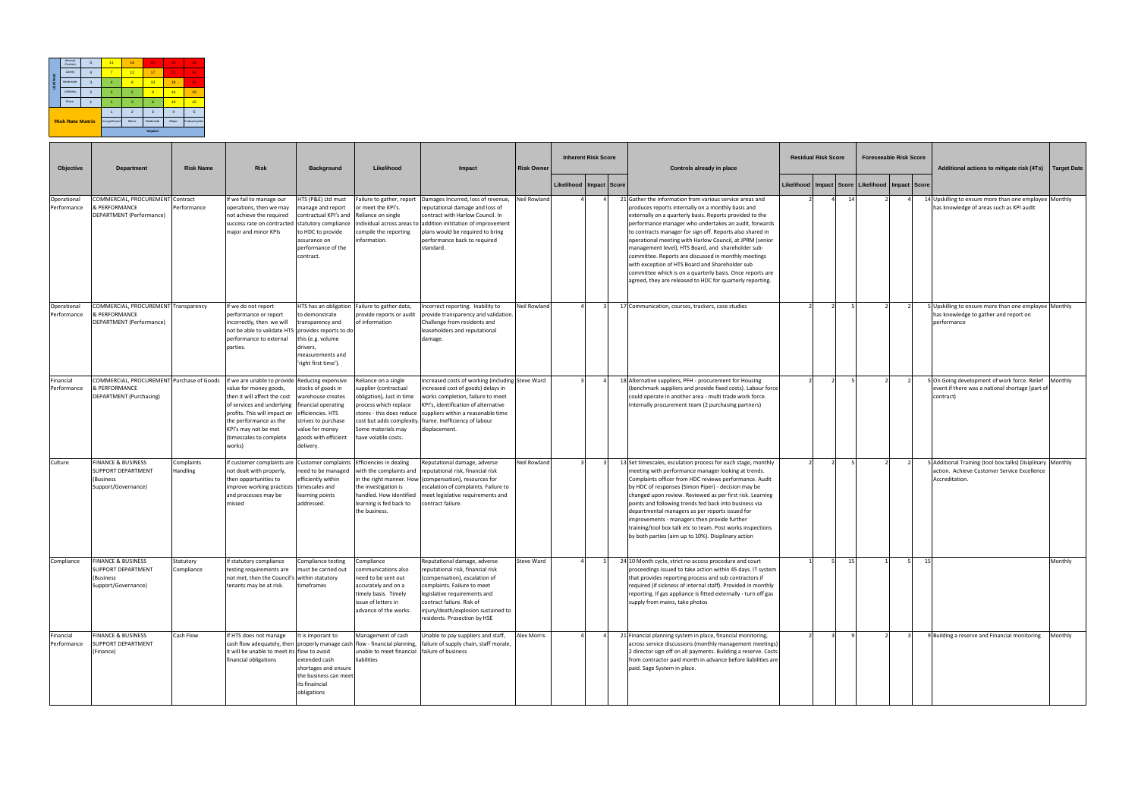| Objective                  | <b>Department</b>                                                                        | <b>Risk Name</b>        | <b>Risk</b>                                                                                                                                                                                                                                                   | <b>Background</b>                                                                                                                                                  | Likelihood                                                                                                                                              | Impact                                                                                                                                                                                                                                                                                                          | <b>Risk Owner</b> | <b>Inherent Risk Score</b>  |  | Controls already in place                                                                                                                                                                                                                                                                                                                                                                                                                                                                                                                                                                                                                               |                   | <b>Residual Risk Score</b> |                                              | <b>Foreseeable Risk Score</b> | Additional actions to mitigate risk (4Ts)                                                                                 | Target Date |
|----------------------------|------------------------------------------------------------------------------------------|-------------------------|---------------------------------------------------------------------------------------------------------------------------------------------------------------------------------------------------------------------------------------------------------------|--------------------------------------------------------------------------------------------------------------------------------------------------------------------|---------------------------------------------------------------------------------------------------------------------------------------------------------|-----------------------------------------------------------------------------------------------------------------------------------------------------------------------------------------------------------------------------------------------------------------------------------------------------------------|-------------------|-----------------------------|--|---------------------------------------------------------------------------------------------------------------------------------------------------------------------------------------------------------------------------------------------------------------------------------------------------------------------------------------------------------------------------------------------------------------------------------------------------------------------------------------------------------------------------------------------------------------------------------------------------------------------------------------------------------|-------------------|----------------------------|----------------------------------------------|-------------------------------|---------------------------------------------------------------------------------------------------------------------------|-------------|
|                            |                                                                                          |                         |                                                                                                                                                                                                                                                               |                                                                                                                                                                    |                                                                                                                                                         |                                                                                                                                                                                                                                                                                                                 |                   | Likelihood   Impact   Score |  |                                                                                                                                                                                                                                                                                                                                                                                                                                                                                                                                                                                                                                                         | <b>Likelihood</b> |                            | Impact   Score   Likelihood   Impact   Score |                               |                                                                                                                           |             |
| Operational<br>Performance | COMMERCIAL, PROCUREMENT Contract<br>& PERFORMANCE<br>DEPARTMENT (Performance)            | Performance             | f we fail to manage our<br>operations, then we may<br>not achieve the required<br>success rate on contracted statutory compliance<br>major and minor KPIs                                                                                                     | HTS (P&E) Ltd must<br>manage and report<br>contractual KPI's and<br>to HDC to provide<br>assurance on<br>performance of the<br>contract.                           | Failure to gather, report<br>or meet the KPI's.<br>Reliance on single<br>compile the reporting<br>information.                                          | Damages Incurred, loss of revenue,<br>reputational damage and loss of<br>contract with Harlow Council. In<br>individual across areas to addition inititation of improvement<br>plans would be required to bring<br>performance back to required<br>standard.                                                    | Neil Rowland      |                             |  | 21 Gather the information from various service areas and<br>produces reports internally on a monthly basis and<br>externally on a quarterly basis. Reports provided to the<br>performance manager who undertakes an audit, forwards<br>to contracts manager for sign off. Reports also shared in<br>operational meeting with Harlow Council, at JPRM (senior<br>management level), HTS Board, and shareholder sub-<br>committee. Reports are discussed in monthly meetings<br>with exception of HTS Board and Shareholder sub<br>committee which is on a quarterly basis. Once reports are<br>agreed, they are released to HDC for quarterly reporting. |                   | 14                         |                                              |                               | 14 Upskilling to ensure more than one employee Monthly<br>has knowledge of areas such as KPI audit                        |             |
| Operational<br>Performance | COMMERCIAL, PROCUREMENT Transparency<br>& PERFORMANCE<br>DEPARTMENT (Performance)        |                         | If we do not report<br>performance or report<br>incorrectly, then we will<br>not be able to validate HTS<br>performance to external<br>parties.                                                                                                               | to demonstrate<br>transparency and<br>provides reports to do<br>this (e.g. volume<br>drivers,<br>measurements and<br>right first time').                           | HTS has an obligation Failure to gather data,<br>provide reports or audit<br>of information                                                             | Incorrect reporting. Inability to<br>provide transparency and validation.<br>Challenge from residents and<br>leaseholders and reputational<br>damage.                                                                                                                                                           | Neil Rowland      |                             |  | 17 Communication, courses, trackers, case studies                                                                                                                                                                                                                                                                                                                                                                                                                                                                                                                                                                                                       |                   |                            |                                              |                               | 5 Upskilling to ensure more than one employee Monthly<br>has knowledge to gather and report on<br>performance             |             |
| Financial<br>Performance   | COMMERCIAL, PROCUREMENT Purchase of Goods<br>& PERFORMANCE<br>DEPARTMENT (Purchasing)    |                         | If we are unable to provide Reducing expensive<br>value for money goods,<br>then it will affect the cost<br>of services and underlying<br>profits. This will impact on<br>the performance as the<br>KPI's may not be met<br>(timescales to complete<br>works) | stocks of goods in<br>warehouse creates<br>financial operating<br>efficiencies. HTS<br>strives to purchase<br>value for money<br>goods with efficient<br>delivery. | Reliance on a single<br>supplier (contractual<br>obligation), Just in time<br>process which replace<br>Some materials may<br>have volatile costs.       | Increased costs of working (including Steve Ward<br>increased cost of goods) delays in<br>works completion, failure to meet<br>KPI's, identification of alternative<br>stores - this does reduce suppliers within a reasonable time<br>cost but adds complexity. frame. Inefficiency of labour<br>displacement. |                   |                             |  | 18 Alternative suppliers, PFH - procurement for Housing<br>(benchmark suppliers and provide fixed costs). Labour force<br>could operate in another area - multi trade work force.<br>Internally procurement team (2 purchasing partners)                                                                                                                                                                                                                                                                                                                                                                                                                |                   |                            |                                              |                               | 5 On Going development of work force. Relief<br>event if there was a national shortage (part o<br>contract)               | Monthly     |
| Culture                    | <b>FINANCE &amp; BUSINESS</b><br>SUPPORT DEPARTMENT<br>(Business)<br>Support/Governance) | Complaints<br>Handling  | f customer complaints are<br>not dealt with properly,<br>then opportunities to<br>improve working practices<br>and processes may be<br>nissed                                                                                                                 | <b>Customer complaints</b><br>need to be managed<br>efficiently within<br>timescales and<br>earning points<br>addressed.                                           | Efficiencies in dealing<br>the investigation is<br>handled. How identified<br>learning is fed back to<br>the business.                                  | Reputational damage, adverse<br>with the complaints and reputational risk, financial risk<br>in the right manner. How (compensation), resources for<br>escalation of complaints. Failure to<br>meet legislative requirements and<br>ontract failure.                                                            | Neil Rowland      |                             |  | 13 Set timescales, esculation process for each stage, monthly<br>meeting with performance manager looking at trends.<br>Complaints officer from HDC reviews performance. Audit<br>by HDC of responses (Simon Piper) - decision may be<br>changed upon review. Reviewed as per first risk. Learning<br>points and following trends fed back into business via<br>departmental managers as per reports issued for<br>improvements - managers then provide further<br>training/tool box talk etc to team. Post works inspections<br>by both parties (aim up to 10%). Disiplinary action                                                                    |                   |                            |                                              |                               | Additional Training (tool box talks) Disiplinary Monthly<br>action. Achieve Customer Service Excellence<br>Accreditation. |             |
| Compliance                 | <b>FINANCE &amp; BUSINESS</b><br>SUPPORT DEPARTMENT<br>(Business<br>Support/Governance)  | Statutory<br>Compliance | If statutory compliance<br>testing requirements are I must be carried out<br>not met, then the Council's within statutory<br>tenants may be at risk.                                                                                                          | Compliance testing<br>timeframes                                                                                                                                   | Compliance<br>communications also<br>need to be sent out<br>accurately and on a<br>timely basis. Timely<br>issue of letters in<br>advance of the works. | Reputational damage, adverse<br>reputational risk, financial risk<br>(compensation), escalation of<br>complaints. Failure to meet<br>legislative requirements and<br>contract failure. Risk of<br>injury/death/explosion sustained to<br>residents. Prosection by HSE                                           | Steve Ward        |                             |  | 24 10 Month cycle, strict no access procedure and court<br>proceedings issued to take action within 45 days. IT system<br>that provides reporting process and sub contractors if<br>required (if sickness of internal staff). Provided in monthly<br>reporting. If gas appliance is fitted externally - turn off gas<br>supply from mains, take photos                                                                                                                                                                                                                                                                                                  |                   |                            | 15                                           | 15                            |                                                                                                                           | Monthly     |
| Financial<br>Performance   | <b>FINANCE &amp; BUSINESS</b><br><b>SUPPORT DEPARTMENT</b><br>(Finance)                  | Cash Flow               | If HTS does not manage<br>it will be unable to meet its flow to avoid<br>financial obligations                                                                                                                                                                | It is imporant to<br>extended cash<br>shortages and ensure<br>the business can meet<br>its finaincial<br>obligations                                               | Management of cash<br>unable to meet financial failure of business<br>liabilities                                                                       | Unable to pay suppliers and staff,<br>cash flow adequately, then properly manage cash flow - financial planning, failure of supply chain, staff morale,                                                                                                                                                         | Alex Morris       |                             |  | 21 Financial planning system in place, financial monitoring,<br>across service discussions (monthly management meetings)<br>2 director sign off on all payments. Building a reserve. Costs<br>from contractor paid month in advance before liabilities are<br>paid. Sage System in place.                                                                                                                                                                                                                                                                                                                                                               |                   |                            |                                              |                               | 9 Building a reserve and Financial monitoring                                                                             | Monthly     |

|            | Almost<br>Certain       | 5                         | 11             | 16             | 20       | 23             | 25           |
|------------|-------------------------|---------------------------|----------------|----------------|----------|----------------|--------------|
|            | Likely                  | $\overline{4}$            | $\overline{7}$ | 12             | 17       | 21             | 24           |
| Likelihood | Moderate                | $\ensuremath{\mathsf{3}}$ | $\overline{4}$ | 8              | 13       | 18             | 22           |
|            | Unlikely                | $\overline{2}$            | $\overline{2}$ | 5              | 9        | 14             | 19           |
|            | Rare                    | h                         |                | 3              | 6        | 10             | 15           |
|            |                         |                           |                | $\overline{2}$ | 3        | $\overline{A}$ | 5            |
|            | <b>Risk Rate Matrix</b> |                           | Insignificant  | Minor          | Moderate | Major          | Catastrophic |
|            |                         |                           |                |                | Impact   |                |              |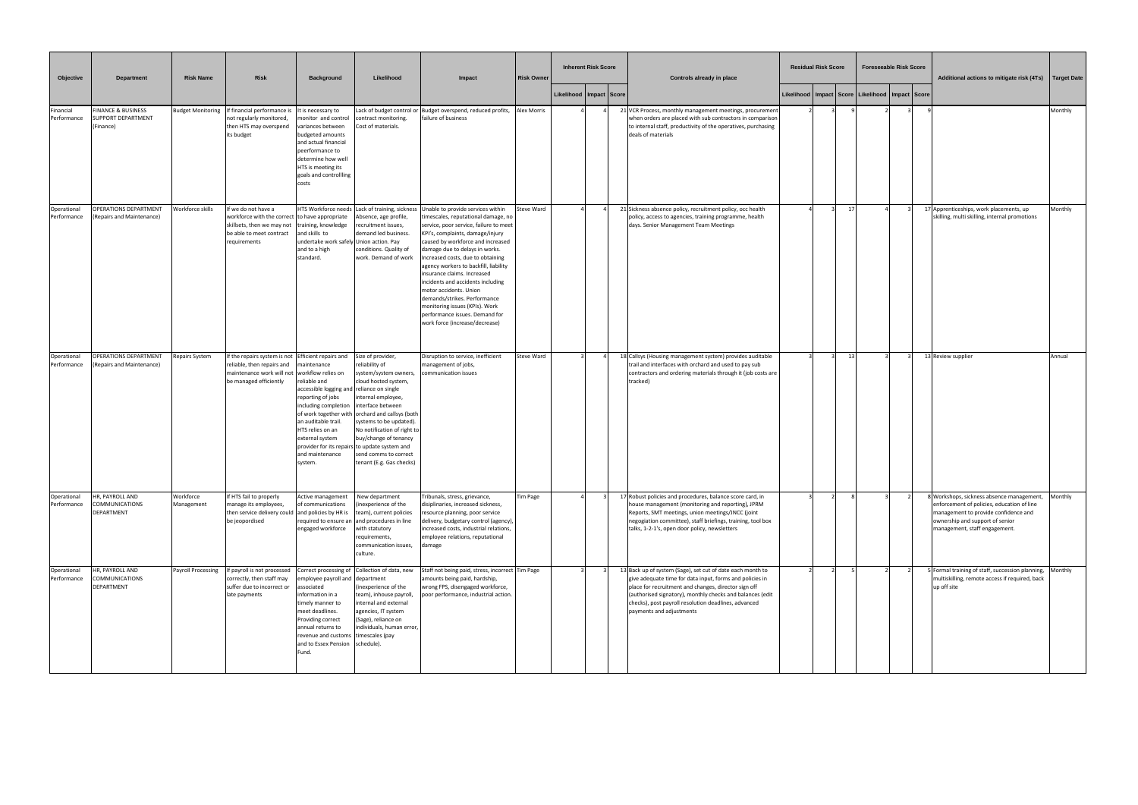| Objective                  | <b>Department</b>                                           | <b>Risk Name</b>          | Risk                                                                                                                                                       | <b>Background</b>                                                                                                                                                                                                                   | Likelihood                                                                                                                                                                                                                                                                                                                                                                 | Impact                                                                                                                                                                                                                                                                                                                                                                                                                                                                                                                                                                                         | <b>Risk Owner</b>  | <b>Inherent Risk Score</b>  |  | Controls already in place                                                                                                                                                                                                                                                                                                       | <b>Residual Risk Score</b> |                |                                                           | <b>Foreseeable Risk Score</b> |  | Additional actions to mitigate risk (4Ts)   Target Date                                                                                                                                           |         |
|----------------------------|-------------------------------------------------------------|---------------------------|------------------------------------------------------------------------------------------------------------------------------------------------------------|-------------------------------------------------------------------------------------------------------------------------------------------------------------------------------------------------------------------------------------|----------------------------------------------------------------------------------------------------------------------------------------------------------------------------------------------------------------------------------------------------------------------------------------------------------------------------------------------------------------------------|------------------------------------------------------------------------------------------------------------------------------------------------------------------------------------------------------------------------------------------------------------------------------------------------------------------------------------------------------------------------------------------------------------------------------------------------------------------------------------------------------------------------------------------------------------------------------------------------|--------------------|-----------------------------|--|---------------------------------------------------------------------------------------------------------------------------------------------------------------------------------------------------------------------------------------------------------------------------------------------------------------------------------|----------------------------|----------------|-----------------------------------------------------------|-------------------------------|--|---------------------------------------------------------------------------------------------------------------------------------------------------------------------------------------------------|---------|
|                            |                                                             |                           |                                                                                                                                                            |                                                                                                                                                                                                                                     |                                                                                                                                                                                                                                                                                                                                                                            |                                                                                                                                                                                                                                                                                                                                                                                                                                                                                                                                                                                                |                    | Likelihood   Impact   Score |  |                                                                                                                                                                                                                                                                                                                                 |                            |                | Likelihood   Impact   Score   Likelihood   Impact   Score |                               |  |                                                                                                                                                                                                   |         |
| Financial<br>Performance   | FINANCE & BUSINESS<br><b>UPPORT DEPARTMENT</b><br>(Finance) |                           | Budget Monitoring If financial performance is It is necessary to<br>not regularly monitored,<br>then HTS may overspend<br>its budget                       | nonitor and control<br>variances between<br>budgeted amounts<br>and actual financial<br>peerformance to<br>determine how well<br>HTS is meeting its<br>goals and controllling<br>costs                                              | contract monitoring.<br>Cost of materials.                                                                                                                                                                                                                                                                                                                                 | Lack of budget control or Budget overspend, reduced profits,<br>failure of business                                                                                                                                                                                                                                                                                                                                                                                                                                                                                                            | <b>Alex Morris</b> |                             |  | 21 VCR Process, monthly management meetings, procurement<br>when orders are placed with sub contractors in comparison<br>to internal staff, productivity of the operatives, purchasing<br>deals of materials                                                                                                                    |                            |                |                                                           |                               |  |                                                                                                                                                                                                   | Monthly |
| Operational<br>Performance | OPERATIONS DEPARTMENT<br>(Repairs and Maintenance)          | Workforce skills          | If we do not have a<br>workforce with the correct to have appropriate<br>skillsets, then we may not<br>be able to meet contract<br>requirements            | training, knowledge<br>and skills to<br>undertake work safely Union action. Pay<br>and to a high<br>standard.                                                                                                                       | Absence, age profile,<br>recruitment issues,<br>demand led business.<br>conditions. Quality of<br>work. Demand of work                                                                                                                                                                                                                                                     | HTS Workforce needs Lack of training, sickness Unable to provide services within<br>timescales, reputational damage, no<br>service, poor service, failure to meet<br>KPI's, complaints, damage/injury<br>caused by workforce and increased<br>damage due to delays in works.<br>Increased costs, due to obtaining<br>agency workers to backfill, liability<br>insurance claims. Increased<br>incidents and accidents including<br>motor accidents. Union<br>demands/strikes. Performance<br>monitoring issues (KPIs). Work<br>performance issues. Demand for<br>work force (increase/decrease) | Steve Ward         |                             |  | 21 Sickness absence policy, recruitment policy, occ health<br>policy, access to agencies, training programme, health<br>days. Senior Management Team Meetings                                                                                                                                                                   |                            | $\overline{1}$ |                                                           |                               |  | 17 Apprenticeships, work placements, up<br>skilling, multi skilling, internal promotions                                                                                                          | Monthly |
| Operational<br>Performance | OPERATIONS DEPARTMENT<br>(Repairs and Maintenance)          | Repairs System            | If the repairs system is not Efficient repairs and<br>reliable, then repairs and<br>maintenance work will not workflow relies on<br>be managed efficiently | naintenance<br>reliable and<br>accessible logging and reliance on single<br>reporting of jobs<br>including completion<br>an auditable trail.<br>HTS relies on an<br>external system<br>and maintenance<br>system.                   | Size of provider,<br>reliability of<br>ystem/system owners,<br>cloud hosted system,<br>internal employee,<br>interface between<br>of work together with orchard and callsys (both<br>systems to be updated).<br>No notification of right to<br>buy/change of tenancy<br>provider for its repairs to update system and<br>send comms to correct<br>tenant (E.g. Gas checks) | Disruption to service, inefficient<br>management of jobs,<br>communication issues                                                                                                                                                                                                                                                                                                                                                                                                                                                                                                              | Steve Ward         |                             |  | 18 Callsys (Housing management system) provides auditable<br>trail and interfaces with orchard and used to pay sub<br>contractors and ordering materials through it (job costs are<br>tracked)                                                                                                                                  |                            | $\overline{1}$ |                                                           |                               |  | 13 Review supplier                                                                                                                                                                                | Annual  |
| Operational<br>Performance | HR, PAYROLL AND<br>COMMUNICATIONS<br>DEPARTMENT             | Workforce<br>Management   | If HTS fail to properly<br>manage its employees,<br>then service delivery could and policies by HR is<br>be jeopordised                                    | Active management<br>of communications<br>engaged workforce                                                                                                                                                                         | New department<br>(inexperience of the<br>team), current policies<br>required to ensure an and procedures in line<br>with statutory<br>requirements,<br>communication issues,<br>culture.                                                                                                                                                                                  | Tribunals, stress, grievance,<br>disiplinaries, increased sickness,<br>resource planning, poor service<br>delivery, budgetary control (agency),<br>increased costs, industrial relations,<br>employee relations, reputational<br>damage                                                                                                                                                                                                                                                                                                                                                        | Tim Page           |                             |  | 17 Robust policies and procedures, balance score card, in<br>house management (monitoring and reporting), JPRM<br>Reports, SMT meetings, union meetings/JNCC (joint<br>negogiation committee), staff briefings, training, tool box<br>talks, 1-2-1's, open door policy, newsletters                                             |                            |                |                                                           |                               |  | Workshops, sickness absence management,<br>enforcement of policies, education of line<br>management to provide confidence and<br>ownership and support of senior<br>management, staff engagement. | Monthly |
| Operational<br>Performance | HR, PAYROLL AND<br>COMMUNICATIONS<br>DEPARTMENT             | <b>Payroll Processing</b> | If payroll is not processed Correct processing of Collection of data, new<br>correctly, then staff may<br>suffer due to incorrect or<br>late payments      | mployee payroll and department<br>ssociated<br>information in a<br>timely manner to<br>meet deadlines.<br>Providing correct<br>annual returns to<br>revenue and customs timescales (pay<br>and to Essex Pension schedule).<br>Fund. | (inexperience of the<br>team), inhouse payroll,<br>internal and external<br>agencies, IT system<br>(Sage), reliance on<br>individuals, human error,                                                                                                                                                                                                                        | Staff not being paid, stress, incorrect Tim Page<br>amounts being paid, hardship,<br>wrong FPS, disengaged workforce,<br>poor performance, industrial action.                                                                                                                                                                                                                                                                                                                                                                                                                                  |                    |                             |  | 13 Back up of system (Sage), set cut of date each month to<br>give adequate time for data input, forms and policies in<br>place for recruitment and changes, director sign off<br>(authorised signatory), monthly checks and balances (edit<br>checks), post payroll resolution deadlines, advanced<br>payments and adjustments |                            |                |                                                           |                               |  | 5 Formal training of staff, succession planning,<br>multiskilling, remote access if required, back<br>up off site                                                                                 | Monthly |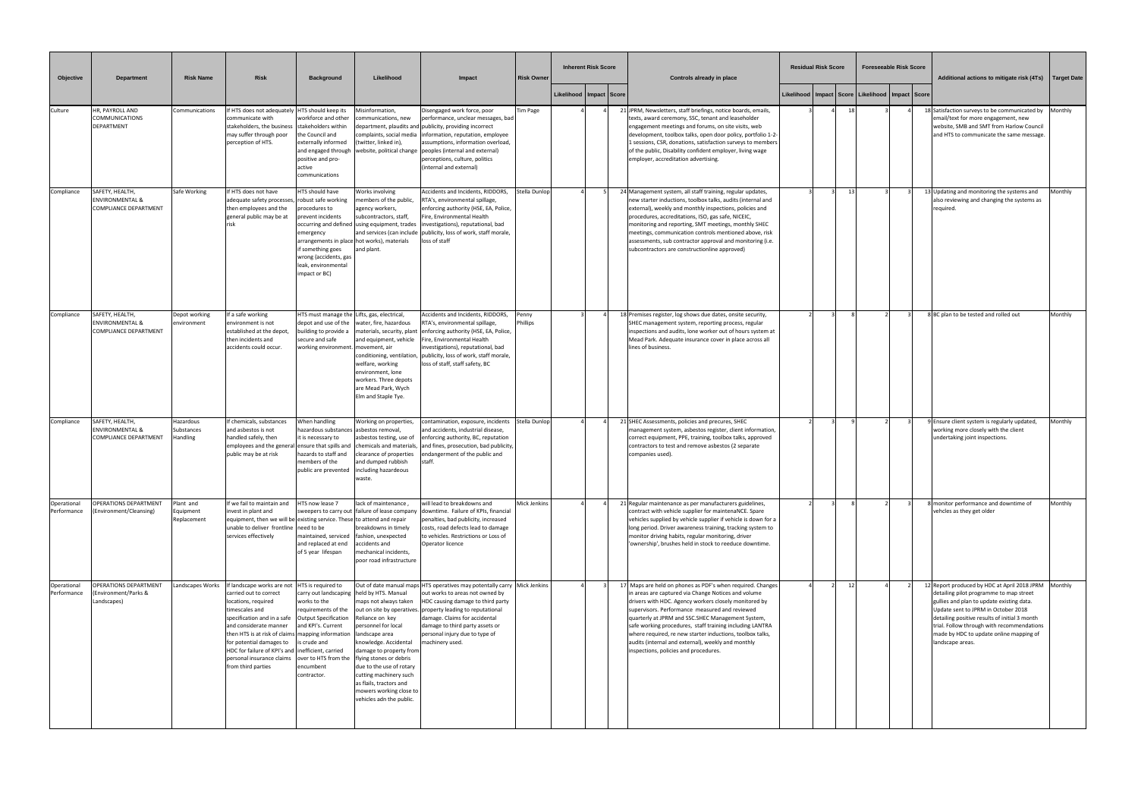| Objective                  | <b>Department</b>                                                             | <b>Risk Name</b>                      | <b>Risk</b>                                                                                                                                                                                                                                                                                                                                                                                                      | <b>Background</b>                                                                                                                                        | Likelihood                                                                                                                                                                                                                                                                                               | Impact                                                                                                                                                                                                                                                                                                                                                                         | <b>Risk Owner</b>   | <b>Inherent Risk Score</b>  | Controls already in place                                                                                                                                                                                                                                                                                                                                                                                                                                                                                 | <b>Residual Risk Score</b>                                |                | <b>Foreseeable Risk Score</b> | Additional actions to mitigate risk (4Ts)   Target Date                                                                                                                                                                                                                                                                                           |         |
|----------------------------|-------------------------------------------------------------------------------|---------------------------------------|------------------------------------------------------------------------------------------------------------------------------------------------------------------------------------------------------------------------------------------------------------------------------------------------------------------------------------------------------------------------------------------------------------------|----------------------------------------------------------------------------------------------------------------------------------------------------------|----------------------------------------------------------------------------------------------------------------------------------------------------------------------------------------------------------------------------------------------------------------------------------------------------------|--------------------------------------------------------------------------------------------------------------------------------------------------------------------------------------------------------------------------------------------------------------------------------------------------------------------------------------------------------------------------------|---------------------|-----------------------------|-----------------------------------------------------------------------------------------------------------------------------------------------------------------------------------------------------------------------------------------------------------------------------------------------------------------------------------------------------------------------------------------------------------------------------------------------------------------------------------------------------------|-----------------------------------------------------------|----------------|-------------------------------|---------------------------------------------------------------------------------------------------------------------------------------------------------------------------------------------------------------------------------------------------------------------------------------------------------------------------------------------------|---------|
|                            |                                                                               |                                       |                                                                                                                                                                                                                                                                                                                                                                                                                  |                                                                                                                                                          |                                                                                                                                                                                                                                                                                                          |                                                                                                                                                                                                                                                                                                                                                                                |                     | Likelihood   Impact   Score |                                                                                                                                                                                                                                                                                                                                                                                                                                                                                                           | Likelihood   Impact   Score   Likelihood   Impact   Score |                |                               |                                                                                                                                                                                                                                                                                                                                                   |         |
| Culture                    | HR, PAYROLL AND<br>COMMUNICATIONS<br>DEPARTMENT                               | Communications                        | If HTS does not adequately HTS should keep its<br>communicate with<br>stakeholders, the business stakeholders within<br>may suffer through poor<br>perception of HTS.                                                                                                                                                                                                                                            | workforce and other<br>the Council and<br>externally informed<br>positive and pro-<br>active<br>communications                                           | Misinformation,<br>ommunications, new<br>(twitter, linked in),                                                                                                                                                                                                                                           | Disengaged work force, poor<br>performance, unclear messages, bad<br>department, plaudits and publicity, providing incorrect<br>complaints, social media information, reputation, employee<br>assumptions, information overload,<br>and engaged through website, political change peoples (internal and external)<br>perceptions, culture, politics<br>(internal and external) | Tim Page            |                             | 21 JPRM, Newsletters, staff briefings, notice boards, emails,<br>texts, award ceremony, SSC, tenant and leaseholder<br>engagement meetings and forums, on site visits, web<br>development, toolbox talks, open door policy, portfolio 1-2-<br>1 sessions, CSR, donations, satisfaction surveys to members<br>of the public, Disability confident employer, living wage<br>employer, accreditation advertising.                                                                                            |                                                           |                |                               | 18 Satisfaction surveys to be communicated by Monthly<br>email/text for more engagement, new<br>website, SMB and SMT from Harlow Council<br>and HTS to communicate the same message.                                                                                                                                                              |         |
| Compliance                 | SAFETY, HEALTH,<br><b>ENVIRONMENTAL &amp;</b><br><b>COMPLIANCE DEPARTMENT</b> | Safe Working                          | If HTS does not have<br>adequate safety processes, robust safe working<br>then employees and the<br>general public may be at<br>risk                                                                                                                                                                                                                                                                             | HTS should have<br>procedures to<br>prevent incidents<br>emergency<br>if something goes<br>wrong (accidents, gas<br>leak, environmental<br>impact or BC) | Works involving<br>nembers of the public,<br>agency workers,<br>subcontractors, staff,<br>occurring and defined lusing equipment, trades<br>arrangements in place hot works), materials<br>and plant.                                                                                                    | Accidents and Incidents, RIDDORS,<br>RTA's, environmental spillage,<br>enforcing authority (HSE, EA, Police,<br>Fire, Environmental Health<br>investigations), reputational, bad<br>and services (can include   publicity, loss of work, staff morale,<br>loss of staff                                                                                                        | Stella Dunlop       |                             | 24 Management system, all staff training, regular updates,<br>new starter inductions, toolbox talks, audits (internal and<br>external), weekly and monthly inspections, policies and<br>procedures, accreditations, ISO, gas safe, NICEIC,<br>monitoring and reporting, SMT meetings, monthly SHEC<br>meetings, communication controls mentioned above, risk<br>assessments, sub contractor approval and monitoring (i.e.<br>subcontractors are constructionline approved)                                |                                                           | 1 <sup>2</sup> |                               | 13 Updating and monitoring the systems and<br>also reviewing and changing the systems as<br>required.                                                                                                                                                                                                                                             | Monthly |
| Compliance                 | SAFETY, HEALTH,<br><b>ENVIRONMENTAL &amp;</b><br>COMPLIANCE DEPARTMENT        | Depot working<br>environment          | If a safe working<br>environment is not<br>established at the depot,<br>then incidents and<br>accidents could occur.                                                                                                                                                                                                                                                                                             | HTS must manage the Lifts, gas, electrical,<br>depot and use of the<br>building to provide a<br>secure and safe<br>working environment. movement, air    | water, fire, hazardous<br>and equipment, vehicle<br>welfare, working<br>environment, lone<br>workers. Three depots<br>are Mead Park, Wych<br>Elm and Staple Tye.                                                                                                                                         | Accidents and Incidents, RIDDORS,<br>RTA's, environmental spillage,<br>materials, security, plant enforcing authority (HSE, EA, Police,<br>Fire, Environmental Health<br>investigations), reputational, bad<br>conditioning, ventilation, publicity, loss of work, staff morale,<br>loss of staff, staff safety, BC                                                            | Penny<br>Phillips   |                             | 18 Premises register, log shows due dates, onsite security,<br>SHEC management system, reporting process, regular<br>inspections and audits, lone worker out of hours system at<br>Mead Park. Adequate insurance cover in place across all<br>lines of business.                                                                                                                                                                                                                                          |                                                           |                |                               | 8 BC plan to be tested and rolled out                                                                                                                                                                                                                                                                                                             | Monthly |
| Compliance                 | SAFETY, HEALTH,<br><b>ENVIRONMENTAL &amp;</b><br>COMPLIANCE DEPARTMENT        | Hazardous<br>Substances<br>Handling   | If chemicals, substances<br>and asbestos is not<br>handled safely, then<br>employees and the general ensure that spills and<br>public may be at risk                                                                                                                                                                                                                                                             | When handling<br>hazardous substances asbestos removal,<br>it is necessary to<br>hazards to staff and<br>members of the<br>public are prevented          | Working on properties,<br>asbestos testing, use of<br>chemicals and materials,<br>clearance of properties<br>and dumped rubbish<br>including hazardeous<br>waste.                                                                                                                                        | contamination, exposure, incidents<br>and accidents, industrial disease,<br>enforcing authority, BC, reputation<br>and fines, prosecution, bad publicity,<br>ndangerment of the public and<br>staff.                                                                                                                                                                           | Stella Dunlop       |                             | 21 SHEC Assessments, policies and precures, SHEC<br>management system, asbestos register, client information,<br>correct equipment, PPE, training, toolbox talks, approved<br>contractors to test and remove asbestos (2 separate<br>companies used).                                                                                                                                                                                                                                                     |                                                           |                |                               | 9 Ensure client system is regularly updated,<br>working more closely with the client<br>undertaking joint inspections.                                                                                                                                                                                                                            | Monthly |
| Operational<br>Performance | <b>OPERATIONS DEPARTMENT</b><br>(Environment/Cleansing)                       | Plant and<br>Equipment<br>Replacement | If we fail to maintain and<br>invest in plant and<br>equipment, then we will be existing service. These to attend and repair<br>unable to deliver frontline need to be<br>services effectively                                                                                                                                                                                                                   | HTS now lease 7<br>maintained, serviced<br>and replaced at end<br>of 5 year lifespan                                                                     | lack of maintenance,<br>breakdowns in timely<br>fashion, unexpected<br>accidents and<br>mechanical incidents,<br>poor road infrastructure                                                                                                                                                                | will lead to breakdowns and<br>sweepers to carry out failure of lease company downtime. Failure of KPIs, financial<br>penalties, bad publicity, increased<br>costs, road defects lead to damage<br>to vehicles. Restrictions or Loss of<br>Operator licence                                                                                                                    | <b>Mick Jenkins</b> |                             | 21 Regular maintenance as per manufacturers guidelines,<br>contract with vehicle supplier for maintenaNCE. Spare<br>vehicles supplied by vehicle supplier if vehicle is down for a<br>long period. Driver awareness training, tracking system to<br>monitor driving habits, regular monitoring, driver<br>'ownership', brushes held in stock to reeduce downtime.                                                                                                                                         |                                                           |                |                               | 8 monitor performance and downtime of<br>vehcles as they get older                                                                                                                                                                                                                                                                                | Monthly |
| Operational<br>Performance | <b>OPERATIONS DEPARTMENT</b><br>(Environment/Parks &<br>Landscapes)           | Landscapes Works                      | If landscape works are not HTS is required to<br>carried out to correct<br>locations, required<br>timescales and<br>specification and in a safe   Output Specification<br>and considerate manner<br>then HTS is at risk of claims   mapping information<br>for potential damages to<br>HDC for failure of KPI's and inefficient, carried<br>personal insurance claims over to HTS from the<br>from third parties | carry out landscaping held by HTS. Manual<br>works to the<br>requirements of the<br>and KPI's. Current<br>is crude and<br>encumbent<br>contractor.       | maps not always taken<br>Reliance on key<br>personnel for local<br>landscape area<br>knowledge. Accidental<br>damage to property from<br>flying stones or debris<br>due to the use of rotary<br>cutting machinery such<br>as flails, tractors and<br>mowers working close to<br>vehicles adn the public. | Out of date manual maps HTS operatives may potentally carry Mick Jenkins<br>out works to areas not owned by<br>HDC causing damage to third party<br>out on site by operatives. property leading to reputational<br>damage. Claims for accidental<br>damage to third party assets or<br>personal injury due to type of<br>nachinery used.                                       |                     |                             | 17 Maps are held on phones as PDF's when required. Changes<br>in areas are captured via Change Notices and volume<br>drivers with HDC. Agency workers closely monitored by<br>supervisors. Performance measured and reviewed<br>quarterly at JPRM and SSC.SHEC Management System,<br>safe working procedures, staff training including LANTRA<br>where required, re new starter inductions, toolbox talks,<br>audits (internal and external), weekly and monthly<br>inspections, policies and procedures. |                                                           | $-12$          |                               | 12 Report produced by HDC at April 2018 JPRM Monthly<br>detailing pilot programme to map street<br>gullies and plan to update existing data.<br>Update sent to JPRM in October 2018<br>detailing positive results of initial 3 month<br>trial. Follow through with recommendations<br>made by HDC to update online mapping of<br>landscape areas. |         |